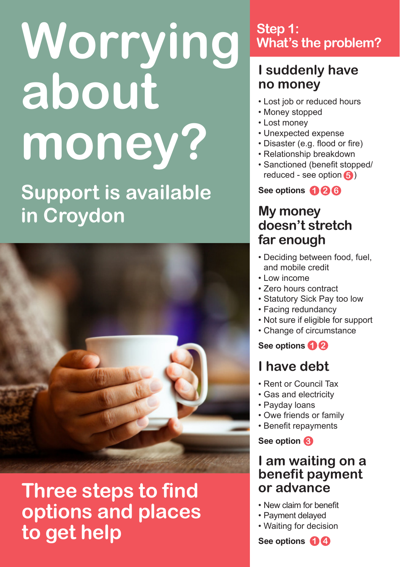# **Worrying about money? Support is available in Croydon**



# **Three steps to find options and places to get help**

## **Step 1: What's the problem?**

## **I suddenly have no money**

- Lost job or reduced hours
- Money stopped
- Lost money
- Unexpected expense
- Disaster (e.g. flood or fire)
- Relationship breakdown
- Sanctioned (benefit stopped/ reduced - see option **5**)

**See options 2 1 6**

## **My money doesn't stretch far enough**

- Deciding between food, fuel, and mobile credit
- Low income
- Zero hours contract
- Statutory Sick Pay too low
- Facing redundancy
- Not sure if eligible for support
- Change of circumstance

**See options 1 2**

## **I have debt**

- Rent or Council Tax
- Gas and electricity
- Payday loans
- Owe friends or family
- Benefit repayments

**See option 3**

## **I am waiting on a benefit payment or advance**

- New claim for benefit
- Payment delayed
- Waiting for decision

**See options 1 4**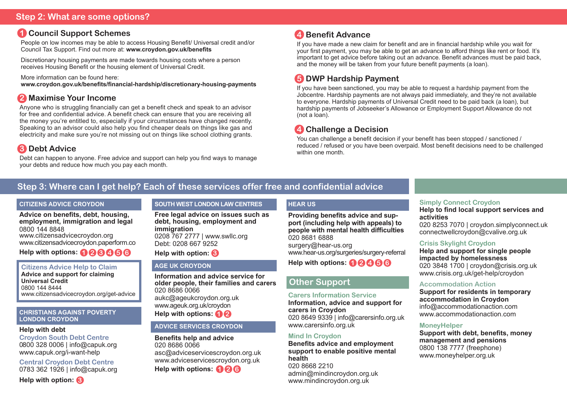## **Step 2: What are some options?**

## **1 Council Support Schemes**

People on low incomes may be able to access Housing Benefit/ Universal credit and/or Council Tax Support. Find out more at: **www.croydon.gov.uk/benefits**

Discretionary housing payments are made towards housing costs where a person receives Housing Benefit or the housing element of Universal Credit.

More information can be found here:

**www.croydon.gov.uk/benefits/financial-hardship/discretionary-housing-payments**

## **2 Maximise Your Income**

Anyone who is struggling financially can get a benefit check and speak to an advisor for free and confidential advice. A benefit check can ensure that you are receiving all the money you're entitled to, especially if your circumstances have changed recently. Speaking to an advisor could also help you find cheaper deals on things like gas and electricity and make sure you're not missing out on things like school clothing grants.

## **3 Debt Advice**

Debt can happen to anyone. Free advice and support can help you find ways to manage your debts and reduce how much you pay each month.

## **4 Benefit Advance**

If you have made a new claim for benefit and are in financial hardship while you wait for your first payment, you may be able to get an advance to afford things like rent or food. It's important to get advice before taking out an advance. Benefit advances must be paid back, and the money will be taken from your future benefit payments (a loan).

## **5 DWP Hardship Payment**

If you have been sanctioned, you may be able to request a hardship payment from the Jobcentre. Hardship payments are not always paid immediately, and they're not available to everyone. Hardship payments of Universal Credit need to be paid back (a loan), but hardship payments of Jobseeker's Allowance or Employment Support Allowance do not (not a loan).

## **4 Challenge a Decision**

You can challenge a benefit decision if your benefit has been stopped / sanctioned / reduced / refused or you have been overpaid. Most benefit decisions need to be challenged within one month.

## **Step 3: Where can I get help? Each of these services offer free and confidential advice**

#### **CITIZENS ADVICE CROYDON**

**Advice on benefits, debt, housing, employment, immigration and legal** 0800 144 8848 www.citizensadvicecroydon.org www.c[itizensadvicecroydon.paperform.co](https://citizensadvicecroydon.paperform.co/ )

**Help with options: 1 2 3 4 5 6**

**Citizens Advice Help to Claim Advice and support for claiming Universal Credit** 0800 144 8444 www.citizensadvicecroydon.org/get-advice

#### **CHRISTIANS AGAINST POVERTY LONDON CROYDON**

#### **Help with debt**

**Croydon South Debt Centre** 0800 328 0006 | info@capuk.org www.capuk.org/i-want-help

**Central Croydon Debt Centre** 0783 362 1926 | info@capuk.org

## **Help with option: 3**

## **SOUTH WEST LONDON LAW CENTRES**

**Free legal advice on issues such as debt, housing, employment and immigration** 0208 767 2777 | www.swllc.org Debt: 0208 667 9252

#### **Help with option: 3**

## **AGE UK CROYDON**

**Information and advice service for older people, their families and carers** 020 8686 0066 aukc@ageukcroydon.org.uk www.ageuk.org.uk/croydon

**Help with options: 1 2**

#### **ADVICE SERVICES CROYDON**

**Benefits help and advice** 020 8686 0066 asc@adviceservicescroydon.org.uk www.adviceservicescroydon.org.uk **Help with options: 1 2 6**

## **HEAR US**

**Providing benefits advice and support (including help with appeals) to people with mental health difficulties** 020 8681 6888 surgery@hear-us.org www.hear-us.org/surgeries/surgery-referral

**Help with options: 1 2 4 5 6**

## **Other Support**

#### **Carers Information Service**

**Information, advice and support for carers in Croydon** 020 8649 9339 | info@carersinfo.org.uk www.carersinfo.org.uk

## **Mind In Croydon**

**Benefits advice and employment support to enable positive mental health** 020 8668 2210 admin@mindincroydon.org.uk www.mindincroydon.org.uk

## **Simply Connect Croydon**

**Help to find local support services and activities** 

020 8253 7070 | croydon.simplyconnect.uk connectwellcroydon@cvalive.org.uk

## **Crisis Skylight Croydon**

**Help and support for single people impacted by homelessness**  020 3848 1700 | croydon@crisis.org.uk www.crisis.org.uk/get-help/croydon

## **Accommodation Action**

**Support for residents in temporary accommodation in Croydon** info@accommodationaction.com www.accommodationaction.com

#### **MoneyHelper**

**Support with debt, benefits, money management and pensions** 0800 138 7777 (freephone) www.moneyhelper.org.uk